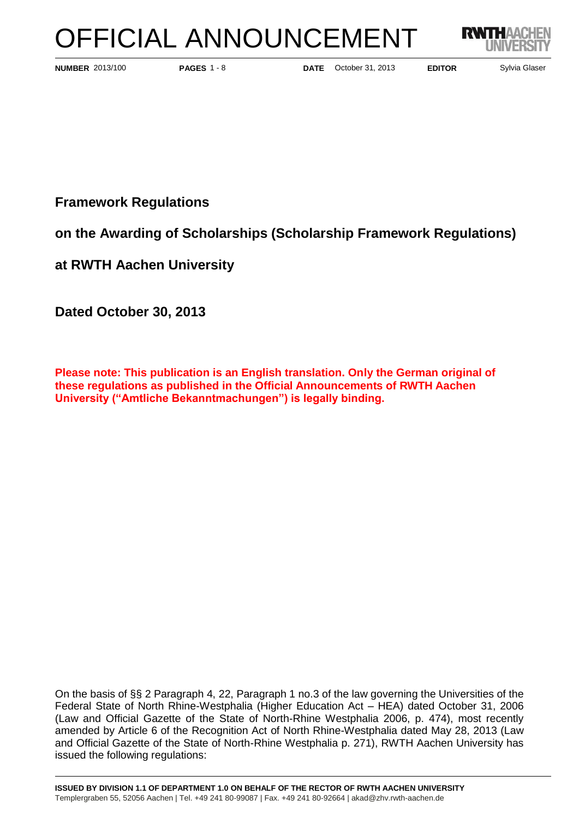# OFFICIAL ANNOUNCEMENT



**PAGES** 1 - 8

**NUMBER** 2013/100 **PAGES** 1 - 8 **DATE** October 31, 2013 **EDITOR** Sylvia Glaser

**Framework Regulations** 

**on the Awarding of Scholarships (Scholarship Framework Regulations)**

**at RWTH Aachen University** 

**Dated October 30, 2013**

**Please note: This publication is an English translation. Only the German original of these regulations as published in the Official Announcements of RWTH Aachen University ("Amtliche Bekanntmachungen") is legally binding.**

On the basis of §§ 2 Paragraph 4, 22, Paragraph 1 no.3 of the law governing the Universities of the Federal State of North Rhine-Westphalia (Higher Education Act – HEA) dated October 31, 2006 (Law and Official Gazette of the State of North-Rhine Westphalia 2006, p. 474), most recently amended by Article 6 of the Recognition Act of North Rhine-Westphalia dated May 28, 2013 (Law and Official Gazette of the State of North-Rhine Westphalia p. 271), RWTH Aachen University has issued the following regulations: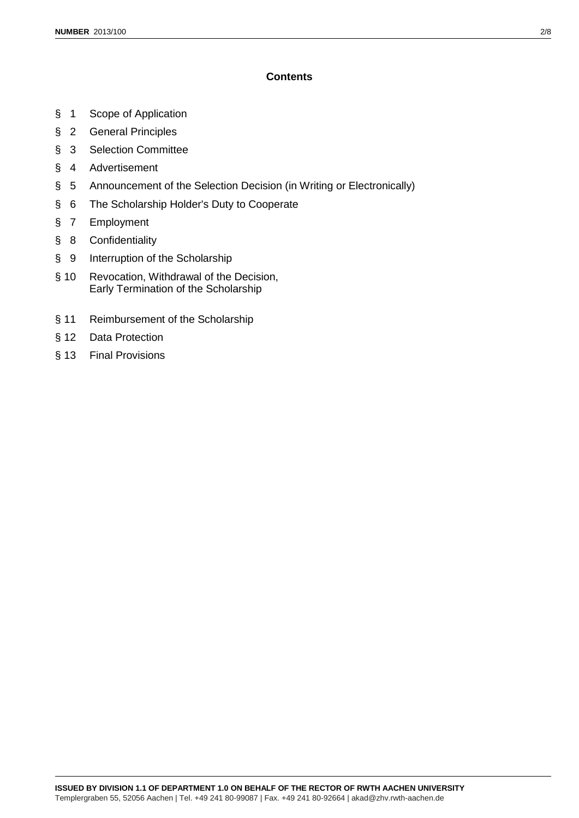# **Contents**

- § 1 Scope of Application
- § 2 General Principles
- § 3 Selection Committee
- § 4 Advertisement
- § 5 Announcement of the Selection Decision (in Writing or Electronically)
- § 6 The Scholarship Holder's Duty to Cooperate
- § 7 Employment
- § 8 Confidentiality
- § 9 Interruption of the Scholarship
- § 10 Revocation, Withdrawal of the Decision, Early Termination of the Scholarship
- § 11 Reimbursement of the Scholarship
- § 12 Data Protection
- § 13 Final Provisions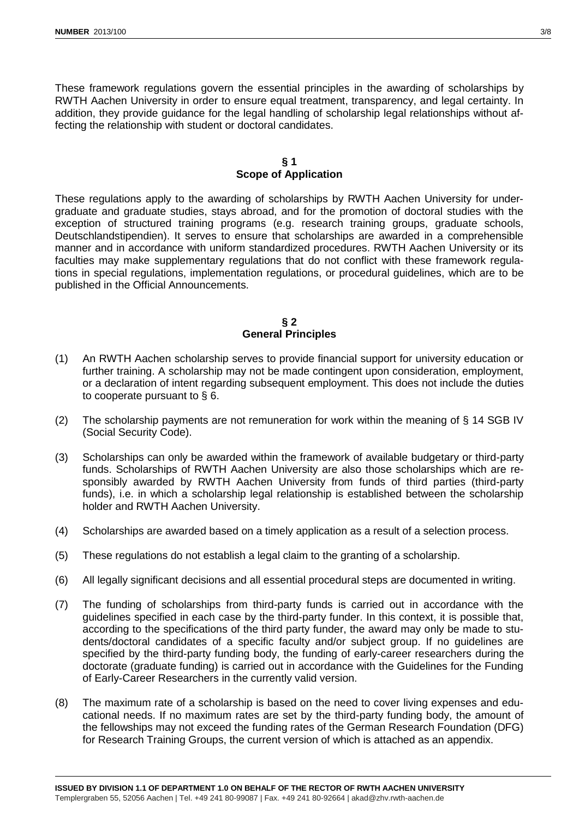These framework regulations govern the essential principles in the awarding of scholarships by RWTH Aachen University in order to ensure equal treatment, transparency, and legal certainty. In addition, they provide guidance for the legal handling of scholarship legal relationships without affecting the relationship with student or doctoral candidates.

## **§ 1 Scope of Application**

These regulations apply to the awarding of scholarships by RWTH Aachen University for undergraduate and graduate studies, stays abroad, and for the promotion of doctoral studies with the exception of structured training programs (e.g. research training groups, graduate schools, Deutschlandstipendien). It serves to ensure that scholarships are awarded in a comprehensible manner and in accordance with uniform standardized procedures. RWTH Aachen University or its faculties may make supplementary regulations that do not conflict with these framework regulations in special regulations, implementation regulations, or procedural guidelines, which are to be published in the Official Announcements.

## **§ 2 General Principles**

- (1) An RWTH Aachen scholarship serves to provide financial support for university education or further training. A scholarship may not be made contingent upon consideration, employment, or a declaration of intent regarding subsequent employment. This does not include the duties to cooperate pursuant to § 6.
- (2) The scholarship payments are not remuneration for work within the meaning of  $\S$  14 SGB IV (Social Security Code).
- (3) Scholarships can only be awarded within the framework of available budgetary or third-party funds. Scholarships of RWTH Aachen University are also those scholarships which are responsibly awarded by RWTH Aachen University from funds of third parties (third-party funds), i.e. in which a scholarship legal relationship is established between the scholarship holder and RWTH Aachen University.
- (4) Scholarships are awarded based on a timely application as a result of a selection process.
- (5) These regulations do not establish a legal claim to the granting of a scholarship.
- (6) All legally significant decisions and all essential procedural steps are documented in writing.
- (7) The funding of scholarships from third-party funds is carried out in accordance with the guidelines specified in each case by the third-party funder. In this context, it is possible that, according to the specifications of the third party funder, the award may only be made to students/doctoral candidates of a specific faculty and/or subject group. If no guidelines are specified by the third-party funding body, the funding of early-career researchers during the doctorate (graduate funding) is carried out in accordance with the Guidelines for the Funding of Early-Career Researchers in the currently valid version.
- (8) The maximum rate of a scholarship is based on the need to cover living expenses and educational needs. If no maximum rates are set by the third-party funding body, the amount of the fellowships may not exceed the funding rates of the German Research Foundation (DFG) for Research Training Groups, the current version of which is attached as an appendix.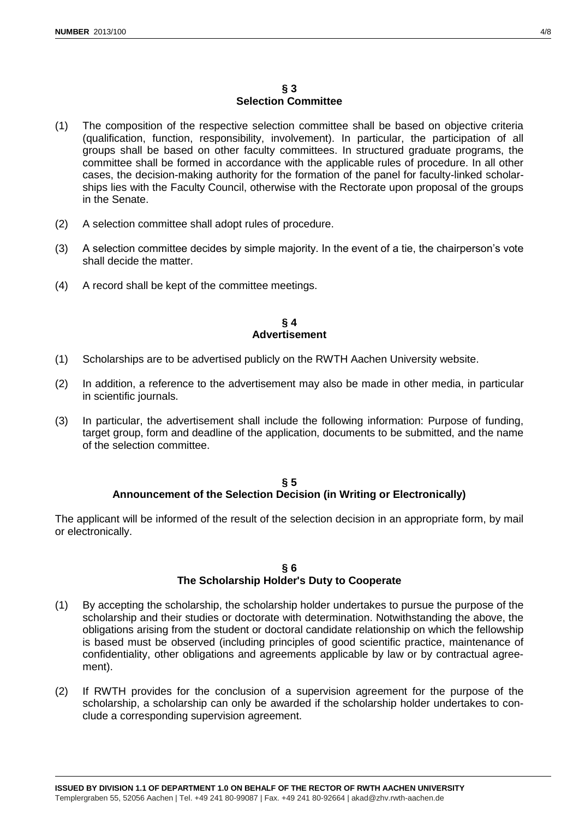# **§ 3 Selection Committee**

- (1) The composition of the respective selection committee shall be based on objective criteria (qualification, function, responsibility, involvement). In particular, the participation of all groups shall be based on other faculty committees. In structured graduate programs, the committee shall be formed in accordance with the applicable rules of procedure. In all other cases, the decision-making authority for the formation of the panel for faculty-linked scholarships lies with the Faculty Council, otherwise with the Rectorate upon proposal of the groups in the Senate.
- (2) A selection committee shall adopt rules of procedure.
- (3) A selection committee decides by simple majority. In the event of a tie, the chairperson's vote shall decide the matter.
- (4) A record shall be kept of the committee meetings.

## **§ 4 Advertisement**

- (1) Scholarships are to be advertised publicly on the RWTH Aachen University website.
- (2) In addition, a reference to the advertisement may also be made in other media, in particular in scientific journals.
- (3) In particular, the advertisement shall include the following information: Purpose of funding, target group, form and deadline of the application, documents to be submitted, and the name of the selection committee.

#### **§ 5 Announcement of the Selection Decision (in Writing or Electronically)**

The applicant will be informed of the result of the selection decision in an appropriate form, by mail or electronically.

## **§ 6 The Scholarship Holder's Duty to Cooperate**

- (1) By accepting the scholarship, the scholarship holder undertakes to pursue the purpose of the scholarship and their studies or doctorate with determination. Notwithstanding the above, the obligations arising from the student or doctoral candidate relationship on which the fellowship is based must be observed (including principles of good scientific practice, maintenance of confidentiality, other obligations and agreements applicable by law or by contractual agreement).
- (2) If RWTH provides for the conclusion of a supervision agreement for the purpose of the scholarship, a scholarship can only be awarded if the scholarship holder undertakes to conclude a corresponding supervision agreement.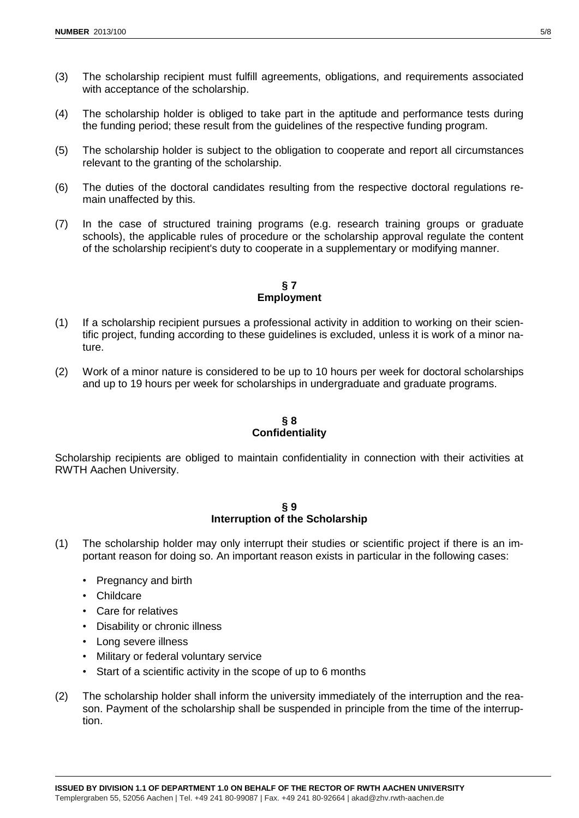- (3) The scholarship recipient must fulfill agreements, obligations, and requirements associated with acceptance of the scholarship.
- (4) The scholarship holder is obliged to take part in the aptitude and performance tests during the funding period; these result from the guidelines of the respective funding program.
- (5) The scholarship holder is subject to the obligation to cooperate and report all circumstances relevant to the granting of the scholarship.
- (6) The duties of the doctoral candidates resulting from the respective doctoral regulations remain unaffected by this.
- (7) In the case of structured training programs (e.g. research training groups or graduate schools), the applicable rules of procedure or the scholarship approval regulate the content of the scholarship recipient's duty to cooperate in a supplementary or modifying manner.

# **§ 7 Employment**

- (1) If a scholarship recipient pursues a professional activity in addition to working on their scientific project, funding according to these guidelines is excluded, unless it is work of a minor nature.
- (2) Work of a minor nature is considered to be up to 10 hours per week for doctoral scholarships and up to 19 hours per week for scholarships in undergraduate and graduate programs.

# **§ 8 Confidentiality**

Scholarship recipients are obliged to maintain confidentiality in connection with their activities at RWTH Aachen University.

#### **§ 9 Interruption of the Scholarship**

- (1) The scholarship holder may only interrupt their studies or scientific project if there is an important reason for doing so. An important reason exists in particular in the following cases:
	- Pregnancy and birth
	- Childcare
	- Care for relatives
	- Disability or chronic illness
	- Long severe illness
	- Military or federal voluntary service
	- Start of a scientific activity in the scope of up to 6 months
- (2) The scholarship holder shall inform the university immediately of the interruption and the reason. Payment of the scholarship shall be suspended in principle from the time of the interruption.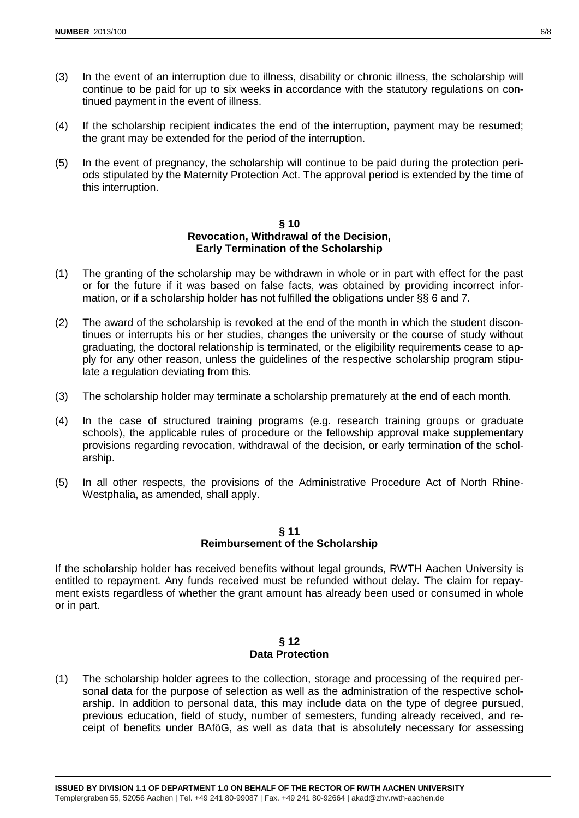- (3) In the event of an interruption due to illness, disability or chronic illness, the scholarship will continue to be paid for up to six weeks in accordance with the statutory regulations on continued payment in the event of illness.
- (4) If the scholarship recipient indicates the end of the interruption, payment may be resumed; the grant may be extended for the period of the interruption.
- (5) In the event of pregnancy, the scholarship will continue to be paid during the protection periods stipulated by the Maternity Protection Act. The approval period is extended by the time of this interruption.

## **§ 10 Revocation, Withdrawal of the Decision, Early Termination of the Scholarship**

- (1) The granting of the scholarship may be withdrawn in whole or in part with effect for the past or for the future if it was based on false facts, was obtained by providing incorrect information, or if a scholarship holder has not fulfilled the obligations under §§ 6 and 7.
- (2) The award of the scholarship is revoked at the end of the month in which the student discontinues or interrupts his or her studies, changes the university or the course of study without graduating, the doctoral relationship is terminated, or the eligibility requirements cease to apply for any other reason, unless the guidelines of the respective scholarship program stipulate a regulation deviating from this.
- (3) The scholarship holder may terminate a scholarship prematurely at the end of each month.
- (4) In the case of structured training programs (e.g. research training groups or graduate schools), the applicable rules of procedure or the fellowship approval make supplementary provisions regarding revocation, withdrawal of the decision, or early termination of the scholarship.
- (5) In all other respects, the provisions of the Administrative Procedure Act of North Rhine-Westphalia, as amended, shall apply.

# **§ 11 Reimbursement of the Scholarship**

If the scholarship holder has received benefits without legal grounds, RWTH Aachen University is entitled to repayment. Any funds received must be refunded without delay. The claim for repayment exists regardless of whether the grant amount has already been used or consumed in whole or in part.

## **§ 12 Data Protection**

(1) The scholarship holder agrees to the collection, storage and processing of the required personal data for the purpose of selection as well as the administration of the respective scholarship. In addition to personal data, this may include data on the type of degree pursued, previous education, field of study, number of semesters, funding already received, and receipt of benefits under BAföG, as well as data that is absolutely necessary for assessing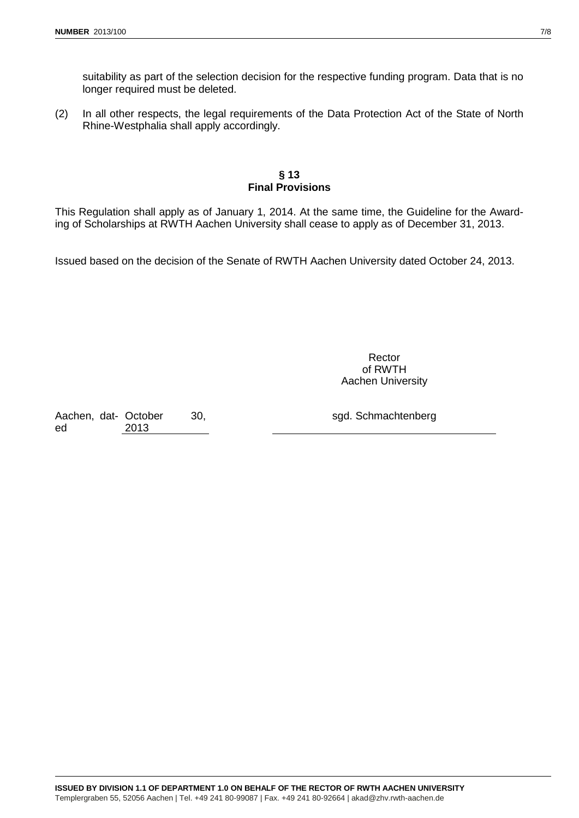suitability as part of the selection decision for the respective funding program. Data that is no longer required must be deleted.

(2) In all other respects, the legal requirements of the Data Protection Act of the State of North Rhine-Westphalia shall apply accordingly.

## **§ 13 Final Provisions**

This Regulation shall apply as of January 1, 2014. At the same time, the Guideline for the Awarding of Scholarships at RWTH Aachen University shall cease to apply as of December 31, 2013.

Issued based on the decision of the Senate of RWTH Aachen University dated October 24, 2013.

Rector of RWTH Aachen University

Aachen, dat-October 30, ed 2013

sgd. Schmachtenberg